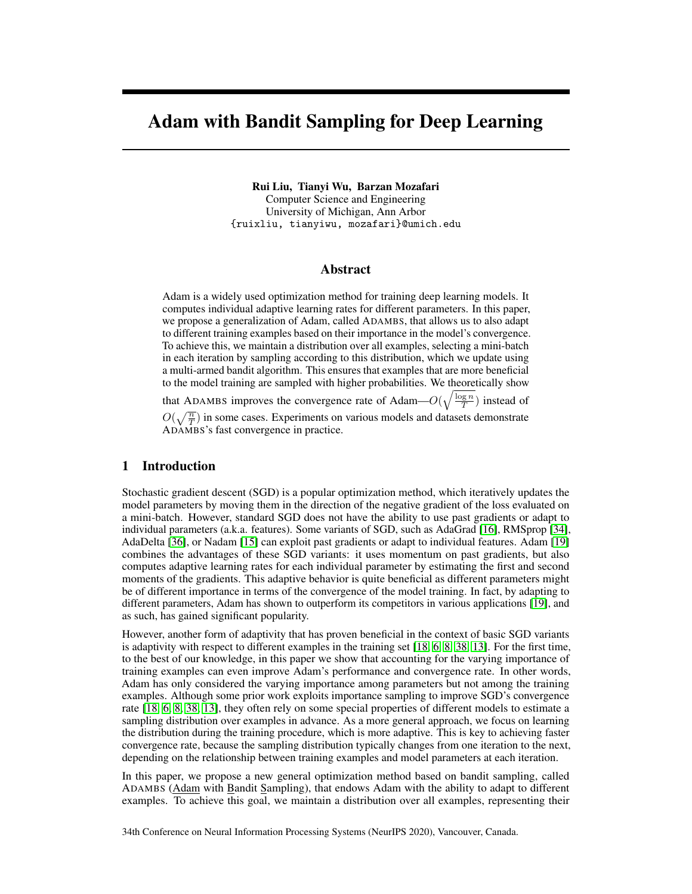# Adam with Bandit Sampling for Deep Learning

Rui Liu, Tianyi Wu, Barzan Mozafari

Computer Science and Engineering University of Michigan, Ann Arbor {ruixliu, tianyiwu, mozafari}@umich.edu

# Abstract

Adam is a widely used optimization method for training deep learning models. It computes individual adaptive learning rates for different parameters. In this paper, we propose a generalization of Adam, called ADAMBS, that allows us to also adapt to different training examples based on their importance in the model's convergence. To achieve this, we maintain a distribution over all examples, selecting a mini-batch in each iteration by sampling according to this distribution, which we update using a multi-armed bandit algorithm. This ensures that examples that are more beneficial to the model training are sampled with higher probabilities. We theoretically show

that ADAMBS improves the convergence rate of Adam— $O(\sqrt{\frac{\log n}{T}})$  instead of

 $O(\sqrt{\frac{n}{T}})$  in some cases. Experiments on various models and datasets demonstrate ADAMBS's fast convergence in practice.

# 1 Introduction

Stochastic gradient descent (SGD) is a popular optimization method, which iteratively updates the model parameters by moving them in the direction of the negative gradient of the loss evaluated on a mini-batch. However, standard SGD does not have the ability to use past gradients or adapt to individual parameters (a.k.a. features). Some variants of SGD, such as AdaGrad [\[16\]](#page-10-0), RMSprop [\[34\]](#page-10-1), AdaDelta [\[36\]](#page-11-0), or Nadam [\[15\]](#page-10-2) can exploit past gradients or adapt to individual features. Adam [\[19\]](#page-10-3) combines the advantages of these SGD variants: it uses momentum on past gradients, but also computes adaptive learning rates for each individual parameter by estimating the first and second moments of the gradients. This adaptive behavior is quite beneficial as different parameters might be of different importance in terms of the convergence of the model training. In fact, by adapting to different parameters, Adam has shown to outperform its competitors in various applications [\[19\]](#page-10-3), and as such, has gained significant popularity.

However, another form of adaptivity that has proven beneficial in the context of basic SGD variants is adaptivity with respect to different examples in the training set [\[18,](#page-10-4) [6,](#page-9-0) [8,](#page-9-1) [38,](#page-11-1) [13\]](#page-9-2). For the first time, to the best of our knowledge, in this paper we show that accounting for the varying importance of training examples can even improve Adam's performance and convergence rate. In other words, Adam has only considered the varying importance among parameters but not among the training examples. Although some prior work exploits importance sampling to improve SGD's convergence rate [\[18,](#page-10-4) [6,](#page-9-0) [8,](#page-9-1) [38,](#page-11-1) [13\]](#page-9-2), they often rely on some special properties of different models to estimate a sampling distribution over examples in advance. As a more general approach, we focus on learning the distribution during the training procedure, which is more adaptive. This is key to achieving faster convergence rate, because the sampling distribution typically changes from one iteration to the next, depending on the relationship between training examples and model parameters at each iteration.

In this paper, we propose a new general optimization method based on bandit sampling, called ADAMBS (Adam with Bandit Sampling), that endows Adam with the ability to adapt to different examples. To achieve this goal, we maintain a distribution over all examples, representing their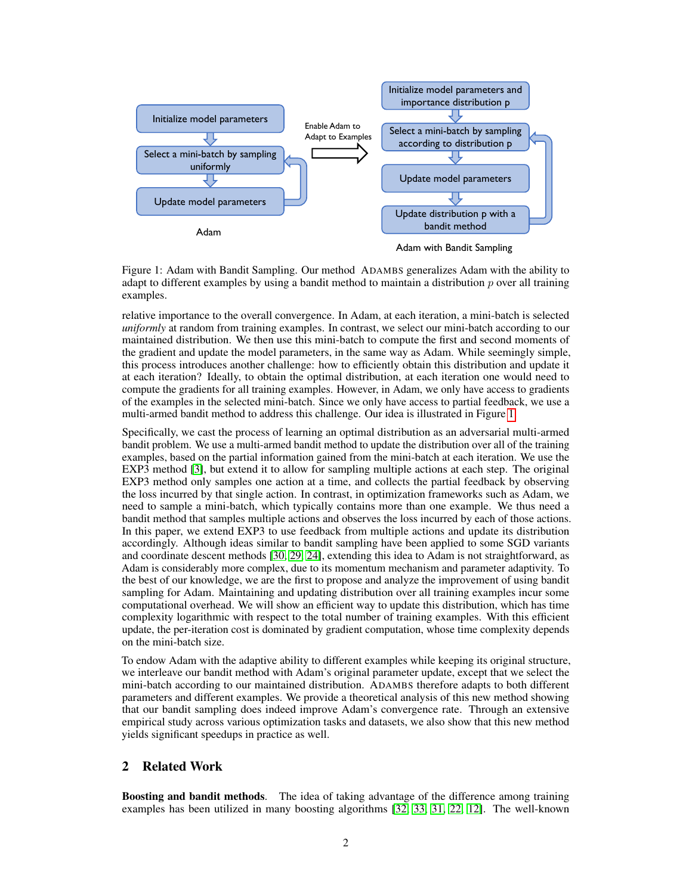

<span id="page-1-0"></span>

Figure 1: Adam with Bandit Sampling. Our method ADAMBS generalizes Adam with the ability to adapt to different examples by using a bandit method to maintain a distribution  $p$  over all training examples.

relative importance to the overall convergence. In Adam, at each iteration, a mini-batch is selected *uniformly* at random from training examples. In contrast, we select our mini-batch according to our maintained distribution. We then use this mini-batch to compute the first and second moments of the gradient and update the model parameters, in the same way as Adam. While seemingly simple, this process introduces another challenge: how to efficiently obtain this distribution and update it at each iteration? Ideally, to obtain the optimal distribution, at each iteration one would need to compute the gradients for all training examples. However, in Adam, we only have access to gradients of the examples in the selected mini-batch. Since we only have access to partial feedback, we use a multi-armed bandit method to address this challenge. Our idea is illustrated in Figure [1.](#page-1-0)

Specifically, we cast the process of learning an optimal distribution as an adversarial multi-armed bandit problem. We use a multi-armed bandit method to update the distribution over all of the training examples, based on the partial information gained from the mini-batch at each iteration. We use the EXP3 method [\[3\]](#page-9-3), but extend it to allow for sampling multiple actions at each step. The original EXP3 method only samples one action at a time, and collects the partial feedback by observing the loss incurred by that single action. In contrast, in optimization frameworks such as Adam, we need to sample a mini-batch, which typically contains more than one example. We thus need a bandit method that samples multiple actions and observes the loss incurred by each of those actions. In this paper, we extend EXP3 to use feedback from multiple actions and update its distribution accordingly. Although ideas similar to bandit sampling have been applied to some SGD variants and coordinate descent methods [\[30,](#page-10-5) [29,](#page-10-6) [24\]](#page-10-7), extending this idea to Adam is not straightforward, as Adam is considerably more complex, due to its momentum mechanism and parameter adaptivity. To the best of our knowledge, we are the first to propose and analyze the improvement of using bandit sampling for Adam. Maintaining and updating distribution over all training examples incur some computational overhead. We will show an efficient way to update this distribution, which has time complexity logarithmic with respect to the total number of training examples. With this efficient update, the per-iteration cost is dominated by gradient computation, whose time complexity depends on the mini-batch size.

To endow Adam with the adaptive ability to different examples while keeping its original structure, we interleave our bandit method with Adam's original parameter update, except that we select the mini-batch according to our maintained distribution. ADAMBS therefore adapts to both different parameters and different examples. We provide a theoretical analysis of this new method showing that our bandit sampling does indeed improve Adam's convergence rate. Through an extensive empirical study across various optimization tasks and datasets, we also show that this new method yields significant speedups in practice as well.

# 2 Related Work

Boosting and bandit methods. The idea of taking advantage of the difference among training examples has been utilized in many boosting algorithms [\[32,](#page-10-8) [33,](#page-10-9) [31,](#page-10-10) [22,](#page-10-11) [12\]](#page-9-4). The well-known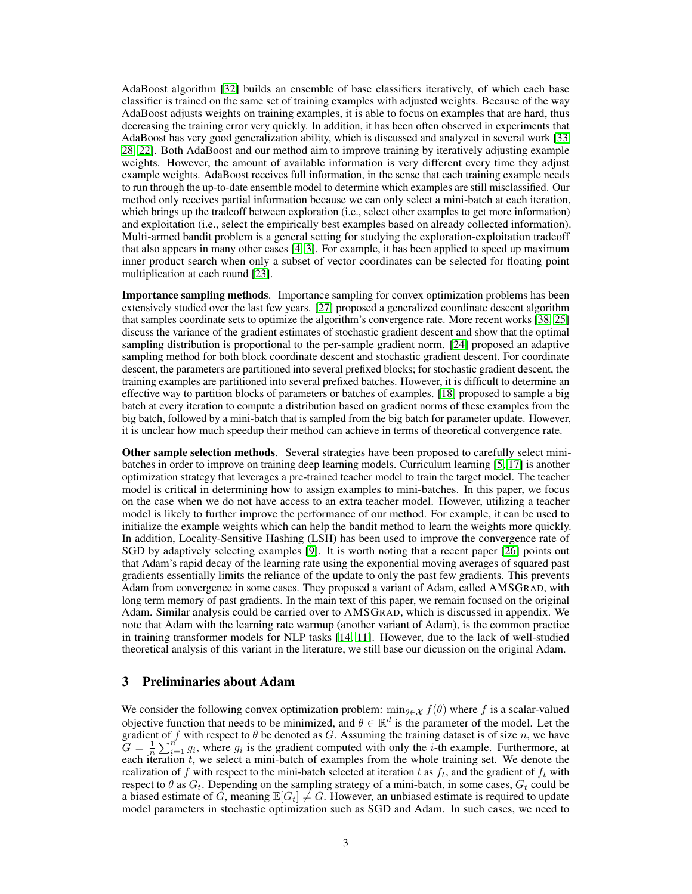AdaBoost algorithm [\[32\]](#page-10-8) builds an ensemble of base classifiers iteratively, of which each base classifier is trained on the same set of training examples with adjusted weights. Because of the way AdaBoost adjusts weights on training examples, it is able to focus on examples that are hard, thus decreasing the training error very quickly. In addition, it has been often observed in experiments that AdaBoost has very good generalization ability, which is discussed and analyzed in several work [\[33,](#page-10-9) [28,](#page-10-12) [22\]](#page-10-11). Both AdaBoost and our method aim to improve training by iteratively adjusting example weights. However, the amount of available information is very different every time they adjust example weights. AdaBoost receives full information, in the sense that each training example needs to run through the up-to-date ensemble model to determine which examples are still misclassified. Our method only receives partial information because we can only select a mini-batch at each iteration, which brings up the tradeoff between exploration (i.e., select other examples to get more information) and exploitation (i.e., select the empirically best examples based on already collected information). Multi-armed bandit problem is a general setting for studying the exploration-exploitation tradeoff that also appears in many other cases [\[4,](#page-9-5) [3\]](#page-9-3). For example, it has been applied to speed up maximum inner product search when only a subset of vector coordinates can be selected for floating point multiplication at each round [\[23\]](#page-10-13).

Importance sampling methods. Importance sampling for convex optimization problems has been extensively studied over the last few years. [\[27\]](#page-10-14) proposed a generalized coordinate descent algorithm that samples coordinate sets to optimize the algorithm's convergence rate. More recent works [\[38,](#page-11-1) [25\]](#page-10-15) discuss the variance of the gradient estimates of stochastic gradient descent and show that the optimal sampling distribution is proportional to the per-sample gradient norm. [\[24\]](#page-10-7) proposed an adaptive sampling method for both block coordinate descent and stochastic gradient descent. For coordinate descent, the parameters are partitioned into several prefixed blocks; for stochastic gradient descent, the training examples are partitioned into several prefixed batches. However, it is difficult to determine an effective way to partition blocks of parameters or batches of examples. [\[18\]](#page-10-4) proposed to sample a big batch at every iteration to compute a distribution based on gradient norms of these examples from the big batch, followed by a mini-batch that is sampled from the big batch for parameter update. However, it is unclear how much speedup their method can achieve in terms of theoretical convergence rate.

Other sample selection methods. Several strategies have been proposed to carefully select minibatches in order to improve on training deep learning models. Curriculum learning [\[5,](#page-9-6) [17\]](#page-10-16) is another optimization strategy that leverages a pre-trained teacher model to train the target model. The teacher model is critical in determining how to assign examples to mini-batches. In this paper, we focus on the case when we do not have access to an extra teacher model. However, utilizing a teacher model is likely to further improve the performance of our method. For example, it can be used to initialize the example weights which can help the bandit method to learn the weights more quickly. In addition, Locality-Sensitive Hashing (LSH) has been used to improve the convergence rate of SGD by adaptively selecting examples [\[9\]](#page-9-7). It is worth noting that a recent paper [\[26\]](#page-10-17) points out that Adam's rapid decay of the learning rate using the exponential moving averages of squared past gradients essentially limits the reliance of the update to only the past few gradients. This prevents Adam from convergence in some cases. They proposed a variant of Adam, called AMSGRAD, with long term memory of past gradients. In the main text of this paper, we remain focused on the original Adam. Similar analysis could be carried over to AMSGRAD, which is discussed in appendix. We note that Adam with the learning rate warmup (another variant of Adam), is the common practice in training transformer models for NLP tasks [\[14,](#page-9-8) [11\]](#page-9-9). However, due to the lack of well-studied theoretical analysis of this variant in the literature, we still base our dicussion on the original Adam.

## 3 Preliminaries about Adam

We consider the following convex optimization problem:  $\min_{\theta \in \mathcal{X}} f(\theta)$  where f is a scalar-valued objective function that needs to be minimized, and  $\theta \in \mathbb{R}^d$  is the parameter of the model. Let the gradient of f with respect to  $\theta$  be denoted as G. Assuming the training dataset is of size n, we have  $G = \frac{1}{n} \sum_{i=1}^{n} g_i$ , where  $g_i$  is the gradient computed with only the *i*-th example. Furthermore, at each iteration  $t$ , we select a mini-batch of examples from the whole training set. We denote the realization of f with respect to the mini-batch selected at iteration t as  $f_t$ , and the gradient of  $f_t$  with respect to  $\theta$  as  $G_t$ . Depending on the sampling strategy of a mini-batch, in some cases,  $G_t$  could be a biased estimate of G, meaning  $\mathbb{E}[G_t] \neq G$ . However, an unbiased estimate is required to update model parameters in stochastic optimization such as SGD and Adam. In such cases, we need to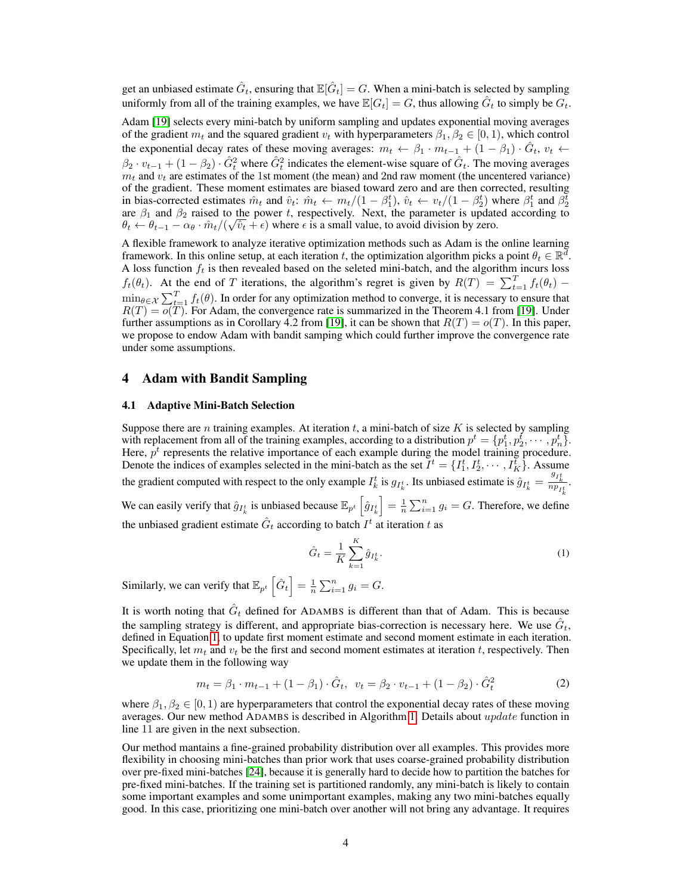get an unbiased estimate  $\hat{G}_t$ , ensuring that  $\mathbb{E}[\hat{G}_t]=G.$  When a mini-batch is selected by sampling uniformly from all of the training examples, we have  $\mathbb{E}[G_t] = G$ , thus allowing  $\hat{G}_t$  to simply be  $G_t$ .

Adam [\[19\]](#page-10-3) selects every mini-batch by uniform sampling and updates exponential moving averages of the gradient  $m_t$  and the squared gradient  $v_t$  with hyperparameters  $\beta_1, \beta_2 \in [0, 1)$ , which control the exponential decay rates of these moving averages:  $m_t \leftarrow \beta_1 \cdot m_{t-1} + (1 - \beta_1) \cdot \hat{G}_t$ ,  $v_t \leftarrow$  $\beta_2 \cdot v_{t-1} + (1 - \beta_2) \cdot \hat{G}_t^2$  where  $\hat{G}_t^2$  indicates the element-wise square of  $\hat{G}_t$ . The moving averages  $m_t$  and  $v_t$  are estimates of the 1st moment (the mean) and 2nd raw moment (the uncentered variance) of the gradient. These moment estimates are biased toward zero and are then corrected, resulting in bias-corrected estimates  $\hat{m}_t$  and  $\hat{v}_t$ :  $\hat{m}_t \leftarrow m_t/(1-\beta_1^t)$ ,  $\hat{v}_t \leftarrow v_t/(1-\beta_2^t)$  where  $\beta_1^t$  and  $\beta_2^t$ are  $\beta_1$  and  $\beta_2$  raised to the power t, respectively. Next, the parameter is updated according to  $\theta_t \leftarrow \theta_{t-1} - \alpha_\theta \cdot \hat{m}_t / (\sqrt{\hat{v}_t} + \epsilon)$  where  $\epsilon$  is a small value, to avoid division by zero.

A flexible framework to analyze iterative optimization methods such as Adam is the online learning framework. In this online setup, at each iteration t, the optimization algorithm picks a point  $\theta_t \in \mathbb{R}^d$ . A loss function  $f_t$  is then revealed based on the seleted mini-batch, and the algorithm incurs loss  $f_t(\theta_t)$ . At the end of T iterations, the algorithm's regret is given by  $R(T) = \sum_{t=1}^T f_t(\theta_t)$  –  $\min_{\theta \in \mathcal{X}} \sum_{t=1}^T f_t(\theta)$ . In order for any optimization method to converge, it is necessary to ensure that  $R(T) = o(T)$ . For Adam, the convergence rate is summarized in the Theorem 4.1 from [\[19\]](#page-10-3). Under further assumptions as in Corollary 4.2 from [\[19\]](#page-10-3), it can be shown that  $R(T) = o(T)$ . In this paper, we propose to endow Adam with bandit samping which could further improve the convergence rate under some assumptions.

## 4 Adam with Bandit Sampling

#### 4.1 Adaptive Mini-Batch Selection

Suppose there are n training examples. At iteration t, a mini-batch of size  $K$  is selected by sampling with replacement from all of the training examples, according to a distribution  $p^t = \{p_1^t, p_2^t, \dots, p_n^t\}$ . Here,  $p<sup>t</sup>$  represents the relative importance of each example during the model training procedure. Denote the indices of examples selected in the mini-batch as the set  $\bar{I}^t = \{I_1^t, I_2^t, \dots, I_K^t\}$ . Assume the gradient computed with respect to the only example  $I_k^t$  is  $g_{I_k^t}$ . Its unbiased estimate is  $\hat{g}_{I_k^t} = \frac{g_{I_k^t}}{n p_{I_k^t}}$ . We can easily verify that  $\hat{g}_{I_k^t}$  is unbiased because  $\mathbb{E}_{p^t} \left[ \hat{g}_{I_k^t} \right] = \frac{1}{n} \sum_{i=1}^n g_i = G$ . Therefore, we define the unbiased gradient estimate  $\hat{G}_t$  according to batch  $I^t$  at iteration  $t$  as

<span id="page-3-0"></span>
$$
\hat{G}_t = \frac{1}{K} \sum_{k=1}^{K} \hat{g}_{I_k^t}.
$$
\n(1)

Similarly, we can verify that  $\mathbb{E}_{p^t} \left[ \hat{G}_t \right] = \frac{1}{n} \sum_{i=1}^n g_i = G.$ 

It is worth noting that  $\hat{G}_t$  defined for ADAMBS is different than that of Adam. This is because the sampling strategy is different, and appropriate bias-correction is necessary here. We use  $\hat{G}_t$ , defined in Equation [1,](#page-3-0) to update first moment estimate and second moment estimate in each iteration. Specifically, let  $m_t$  and  $v_t$  be the first and second moment estimates at iteration t, respectively. Then we update them in the following way

$$
m_t = \beta_1 \cdot m_{t-1} + (1 - \beta_1) \cdot \hat{G}_t, \ \ v_t = \beta_2 \cdot v_{t-1} + (1 - \beta_2) \cdot \hat{G}_t^2 \tag{2}
$$

where  $\beta_1, \beta_2 \in [0, 1)$  are hyperparameters that control the exponential decay rates of these moving averages. Our new method ADAMBS is described in Algorithm [1.](#page-4-0) Details about update function in line 11 are given in the next subsection.

Our method mantains a fine-grained probability distribution over all examples. This provides more flexibility in choosing mini-batches than prior work that uses coarse-grained probability distribution over pre-fixed mini-batches [\[24\]](#page-10-7), because it is generally hard to decide how to partition the batches for pre-fixed mini-batches. If the training set is partitioned randomly, any mini-batch is likely to contain some important examples and some unimportant examples, making any two mini-batches equally good. In this case, prioritizing one mini-batch over another will not bring any advantage. It requires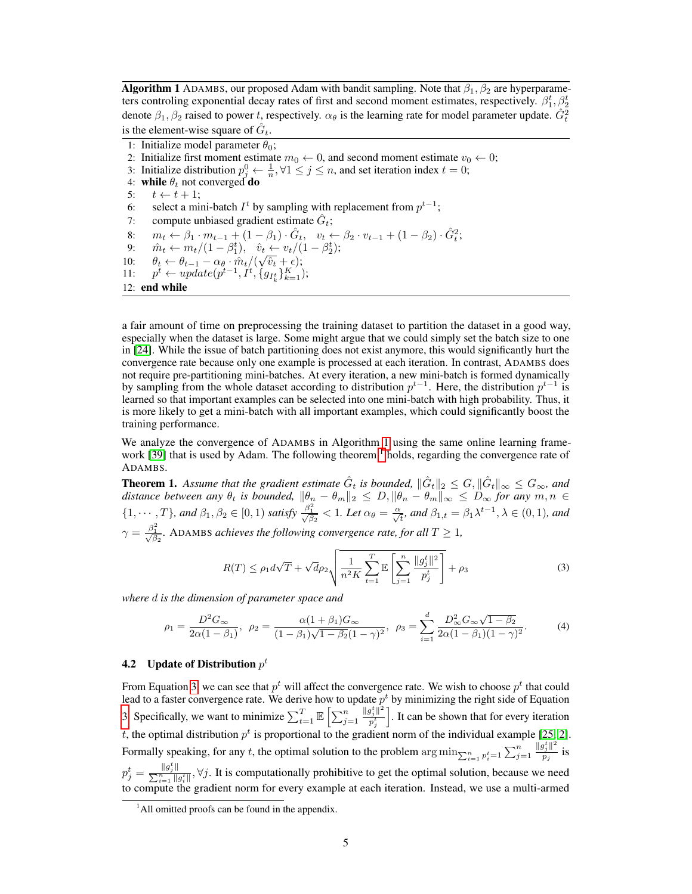**Algorithm 1** ADAMBS, our proposed Adam with bandit sampling. Note that  $\beta_1$ ,  $\beta_2$  are hyperparameters controling exponential decay rates of first and second moment estimates, respectively.  $\beta_1^t, \beta_2^t$ denote  $\beta_1, \beta_2$  raised to power t, respectively.  $\alpha_\theta$  is the learning rate for model parameter update.  $\hat{G}_t^2$ is the element-wise square of  $\hat{G}_t$ .

```
1: Initialize model parameter \theta_0;
 2: Initialize first moment estimate m_0 \leftarrow 0, and second moment estimate v_0 \leftarrow 0;
  3: Initialize distribution p_j^0 \leftarrow \frac{1}{n}, \forall 1 \leq j \leq n, and set iteration index t = 0;
  4: while \theta_t not converged do
 5: t \leftarrow t + 1;
  6: select a mini-batch I^t by sampling with replacement from p^{t-1};
  7: compute unbiased gradient estimate \hat{G}_t;
  8: m_t \leftarrow \beta_1 \cdot m_{t-1} + (1 - \beta_1) \cdot \hat{G}_t, \quad v_t \leftarrow \beta_2 \cdot v_{t-1} + (1 - \beta_2) \cdot \hat{G}_t^2;9: \hat{m}_t \leftarrow m_t/(1 - \beta_1^t), \quad \hat{v}_t \leftarrow v_t/(1 - \beta_2^t);9: m_t \leftarrow m_t / (1 - \rho_1^2), \quad v_t \leftarrow v_t / (1 - \rho_1^2)<br>
10: \theta_t \leftarrow \theta_{t-1} - \alpha_\theta \cdot \hat{m}_t / (\sqrt{\hat{v}_t} + \epsilon);11:
             t \leftarrow update(p^{t-1}, I^t, \{g_{I^t_k}\}_{k=1}^K);12: end while
```
a fair amount of time on preprocessing the training dataset to partition the dataset in a good way, especially when the dataset is large. Some might argue that we could simply set the batch size to one in [\[24\]](#page-10-7). While the issue of batch partitioning does not exist anymore, this would significantly hurt the convergence rate because only one example is processed at each iteration. In contrast, ADAMBS does not require pre-partitioning mini-batches. At every iteration, a new mini-batch is formed dynamically by sampling from the whole dataset according to distribution  $p^{t-1}$ . Here, the distribution  $p^{t-1}$  is learned so that important examples can be selected into one mini-batch with high probability. Thus, it is more likely to get a mini-batch with all important examples, which could significantly boost the training performance.

We analyze the convergence of ADAMBS in Algorithm [1](#page-4-0) using the same online learning frame-work [\[39\]](#page-11-2) that is used by Adam. The following theorem  $\frac{1}{1}$  $\frac{1}{1}$  $\frac{1}{1}$  holds, regarding the convergence rate of ADAMBS.

<span id="page-4-3"></span>**Theorem 1.** Assume that the gradient estimate  $\hat{G}_t$  is bounded,  $\|\hat{G}_t\|_2 \leq G$ ,  $\|\hat{G}_t\|_{\infty} \leq G_{\infty}$ , and *distance between any*  $\theta_t$  *is bounded,*  $\|\theta_n - \theta_m\|_2 \leq D, \|\theta_n - \theta_m\|_\infty \leq D_\infty$  for any  $m, n \in$  $\{1,\cdots,T\}$ , and  $\beta_1,\beta_2\in[0,1)$  satisfy  $\frac{\beta_1^2}{\sqrt{\beta_2}}<1$ . Let  $\alpha_\theta=\frac{\alpha}{\sqrt{t}}$ , and  $\beta_{1,t}=\beta_1\lambda^{t-1},\lambda\in(0,1)$ , and  $\gamma = \frac{\beta_1^2}{\sqrt{\beta_2}}$ . ADAMBS *achieves the following convergence rate, for all*  $T \ge 1$ *,* 

<span id="page-4-4"></span><span id="page-4-2"></span>
$$
R(T) \le \rho_1 d\sqrt{T} + \sqrt{d} \rho_2 \sqrt{\frac{1}{n^2 K} \sum_{t=1}^T \mathbb{E} \left[ \sum_{j=1}^n \frac{\|g_j^t\|^2}{p_j^t} \right]} + \rho_3 \tag{3}
$$

*where* d *is the dimension of parameter space and*

$$
\rho_1 = \frac{D^2 G_{\infty}}{2\alpha (1 - \beta_1)}, \ \ \rho_2 = \frac{\alpha (1 + \beta_1) G_{\infty}}{(1 - \beta_1)\sqrt{1 - \beta_2}(1 - \gamma)^2}, \ \ \rho_3 = \sum_{i=1}^d \frac{D^2_{\infty} G_{\infty} \sqrt{1 - \beta_2}}{2\alpha (1 - \beta_1)(1 - \gamma)^2}.
$$

## 4.2 Update of Distribution  $p^t$

From Equation [3,](#page-4-2) we can see that  $p<sup>t</sup>$  will affect the convergence rate. We wish to choose  $p<sup>t</sup>$  that could lead to a faster convergence rate. We derive how to update  $p<sup>t</sup>$  by minimizing the right side of Equation [3.](#page-4-2) Specifically, we want to minimize  $\sum_{t=1}^{T} \mathbb{E}\left[\sum_{j=1}^{n} \right]$  $||g_j^t||^2$  $p_j^t$ i . It can be shown that for every iteration t, the optimal distribution  $p<sup>t</sup>$  is proportional to the gradient norm of the individual example [\[25,](#page-10-15) [2\]](#page-9-10). Formally speaking, for any t, the optimal solution to the problem  $\arg \min_{\sum_{i=1}^n p_i^t=1} \sum_{j=1}^n$  $||g_j^t||^2$  $\frac{f_j \parallel}{p_j}$  is  $p_j^t = \frac{||g_j^t||}{\sum_{i=1}^n ||g_i^t||}$ ,  $\forall j$ . It is computationally prohibitive to get the optimal solution, because we need to compute the gradient norm for every example at each iteration. Instead, we use a multi-armed

<span id="page-4-1"></span> $<sup>1</sup>$ All omitted proofs can be found in the appendix.</sup>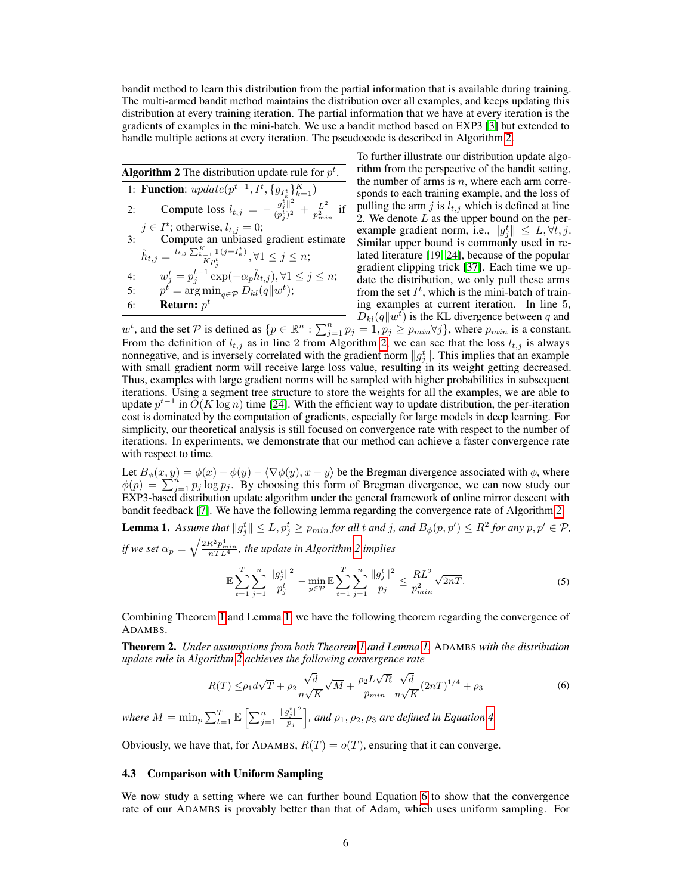bandit method to learn this distribution from the partial information that is available during training. The multi-armed bandit method maintains the distribution over all examples, and keeps updating this distribution at every training iteration. The partial information that we have at every iteration is the gradients of examples in the mini-batch. We use a bandit method based on EXP3 [\[3\]](#page-9-3) but extended to handle multiple actions at every iteration. The pseudocode is described in Algorithm [2.](#page-5-0)

<span id="page-5-0"></span>Algorithm 2 The distribution update rule for  $p^t$ . 1: **Function**:  $update(p^{t-1}, I^t, \{g_{I^t_k}\}_{k=1}^K)$ 2: Compute loss  $l_{t,j} = -\frac{\|g_j^t\|^2}{(n^t)^2}$  $\frac{\|g_j^\iota\|^2}{(p_j^\iota)^2} + \frac{L^2}{p_{mi}^2}$  $rac{L^2}{p_{min}^2}$  if  $j \in I^t$ ; otherwise,  $l_{t,j} = 0$ ; 3: Compute an unbiased gradient estimate  $\hat{h}_{t,j} = \frac{l_{t,j} \sum_{k=1}^{K} \mathbb{1}(j = I_k^t)}{K n^t}$  $\frac{d_i=1 \perp \perp (j=1) \perp}{Kp_j^t}, \forall 1 \leq j \leq n;$ 4:  $w_j^t = p_j^{t-1} \exp(-\alpha_p \hat{h}_{t,j}), \forall 1 \leq j \leq n;$ 5:  $p^t = \arg \min_{q \in \mathcal{P}} D_{kl}(q||w^t);$ 6: **Return:**  $p^t$ 

To further illustrate our distribution update algorithm from the perspective of the bandit setting, the number of arms is  $n$ , where each arm corresponds to each training example, and the loss of pulling the arm j is  $l_{t,j}$  which is defined at line 2. We denote  $L$  as the upper bound on the perexample gradient norm, i.e.,  $||g_j^t|| \leq L, \forall t, j$ . Similar upper bound is commonly used in related literature [\[19,](#page-10-3) [24\]](#page-10-7), because of the popular gradient clipping trick [\[37\]](#page-11-3). Each time we update the distribution, we only pull these arms from the set  $I^t$ , which is the mini-batch of training examples at current iteration. In line 5,  $\overline{D}_{kl}(q||w^t)$  is the KL divergence between q and

 $w^t$ , and the set P is defined as  $\{p \in \mathbb{R}^n : \sum_{j=1}^n p_j = 1, p_j \geq p_{min} \forall j\}$ , where  $p_{min}$  is a constant. From the definition of  $l_{t,j}$  as in line 2 from Algorithm [2,](#page-5-0) we can see that the loss  $l_{t,j}$  is always nonnegative, and is inversely correlated with the gradient norm  $||g_j^t||$ . This implies that an example with small gradient norm will receive large loss value, resulting in its weight getting decreased. Thus, examples with large gradient norms will be sampled with higher probabilities in subsequent iterations. Using a segment tree structure to store the weights for all the examples, we are able to update  $p^{t-1}$  in  $O(K \log n)$  time [\[24\]](#page-10-7). With the efficient way to update distribution, the per-iteration cost is dominated by the computation of gradients, especially for large models in deep learning. For simplicity, our theoretical analysis is still focused on convergence rate with respect to the number of iterations. In experiments, we demonstrate that our method can achieve a faster convergence rate with respect to time.

Let  $B_{\phi}(x, y) = \phi(x) - \phi(y) - \langle \nabla \phi(y), x - y \rangle$  be the Bregman divergence associated with  $\phi$ , where  $\phi(p) = \sum_{j=1}^{n} p_j \log p_j$ . By choosing this form of Bregman divergence, we can now study our EXP3-based distribution update algorithm under the general framework of online mirror descent with bandit feedback [\[7\]](#page-9-11). We have the following lemma regarding the convergence rate of Algorithm [2.](#page-5-0)

<span id="page-5-1"></span>**Lemma 1.** Assume that  $||g_j^t|| \le L$ ,  $p_j^t \ge p_{min}$  for all t and j, and  $B_{\phi}(p, p') \le R^2$  for any  $p, p' \in \mathcal{P}$ , *if we set*  $\alpha_p = \sqrt{\frac{2R^2p_{min}^4}{nTL^4}}$ , the update in Algorithm [2](#page-5-0) implies

<span id="page-5-2"></span>
$$
\mathbb{E}\sum_{t=1}^{T}\sum_{j=1}^{n}\frac{\|g_j^t\|^2}{p_j^t} - \min_{p\in\mathcal{P}}\mathbb{E}\sum_{t=1}^{T}\sum_{j=1}^{n}\frac{\|g_j^t\|^2}{p_j^t} \le \frac{RL^2}{p_{min}^2}\sqrt{2nT}.\tag{5}
$$

Combining Theorem [1](#page-4-3) and Lemma [1,](#page-5-1) we have the following theorem regarding the convergence of ADAMBS.

<span id="page-5-3"></span>Theorem 2. *Under assumptions from both Theorem [1](#page-4-3) and Lemma [1,](#page-5-1)* ADAMBS *with the distribution update rule in Algorithm [2](#page-5-0) achieves the following convergence rate*

$$
R(T) \leq \rho_1 d\sqrt{T} + \rho_2 \frac{\sqrt{d}}{n\sqrt{K}} \sqrt{M} + \frac{\rho_2 L \sqrt{R}}{p_{min}} \frac{\sqrt{d}}{n\sqrt{K}} (2nT)^{1/4} + \rho_3
$$
\n
$$
\tag{6}
$$

where  $M = \min_p \sum_{t=1}^T \mathbb{E} \left[ \sum_{j=1}^n \right]$  $||g_j^t||^2$  $\left(\frac{p_j^t\|^2}{p_j}\right]$ , and  $\rho_1, \rho_2, \rho_3$  are defined in Equation [4.](#page-4-4)

Obviously, we have that, for ADAMBS,  $R(T) = o(T)$ , ensuring that it can converge.

#### 4.3 Comparison with Uniform Sampling

We now study a setting where we can further bound Equation [6](#page-5-2) to show that the convergence rate of our ADAMBS is provably better than that of Adam, which uses uniform sampling. For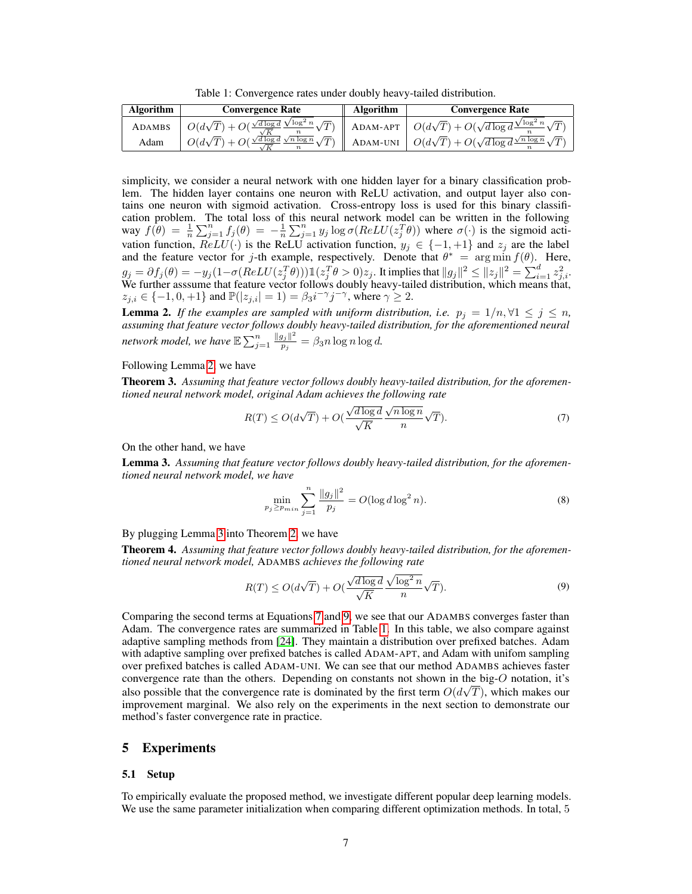Table 1: Convergence rates under doubly heavy-tailed distribution.

<span id="page-6-4"></span>

| <b>Algorithm</b> | <b>Convergence Rate</b>                                                                              | Algorithm | <b>Convergence Rate</b>                                                               |
|------------------|------------------------------------------------------------------------------------------------------|-----------|---------------------------------------------------------------------------------------|
| ADAMBS           | $\frac{1}{2} O(d\sqrt{T}) + O(\frac{\sqrt{d\log d}}{\sqrt{T}} \frac{\sqrt{\log^2 n}}{T})^{\prime} I$ |           | ADAM-APT $\Big  O(d\sqrt{T}) + O(\sqrt{d \log d} \frac{\sqrt{\log^2 n}}{n})$          |
| Adam             | $\sqrt{d \log d} \sqrt{n \log n}$<br>$O(d\sqrt{T})+O(2)$                                             |           | ADAM-UNI $\left  O(d\sqrt{T}) + O(\sqrt{d \log d} \frac{\sqrt{n \log n}}{n}) \right $ |

simplicity, we consider a neural network with one hidden layer for a binary classification problem. The hidden layer contains one neuron with ReLU activation, and output layer also contains one neuron with sigmoid activation. Cross-entropy loss is used for this binary classification problem. The total loss of this neural network model can be written in the following way  $f(\theta) = \frac{1}{n} \sum_{j=1}^n f_j(\theta) = -\frac{1}{n} \sum_{j=1}^n y_j \log \sigma(ReLU(z_j^T \theta))$  where  $\sigma(\cdot)$  is the sigmoid activation function,  $ReLU(\cdot)$  is the ReLU activation function,  $y_j \in \{-1, +1\}$  and  $z_j$  are the label and the feature vector for j-th example, respectively. Denote that  $\theta^* = \arg \min f(\theta)$ . Here,  $g_j=\partial f_j(\theta)=-y_j(1-\sigma(ReLU(z_j^T\theta)))\mathbbm{1}(z_j^T\theta>0)z_j.$  It implies that  $\|g_j\|^2\leq \|z_j\|^2=\sum_{i=1}^d z_{j,i}^2.$ We further asssume that feature vector follows doubly heavy-tailed distribution, which means that,  $z_{j,i} \in \{-1,0,+1\}$  and  $\mathbb{P}(|z_{j,i}|=1) = \beta_3 i^{-\gamma} j^{-\gamma}$ , where  $\gamma \geq 2$ .

<span id="page-6-0"></span>**Lemma 2.** If the examples are sampled with uniform distribution, i.e.  $p_j = 1/n, \forall 1 \leq j \leq n$ , *assuming that feature vector follows doubly heavy-tailed distribution, for the aforementioned neural* network model, we have  $\mathbb{E}\sum_{j=1}^n \frac{\|g_j\|^2}{p_j}$  $\frac{g_{j\parallel}}{p_{j}} = \beta_{3} n \log n \log d.$ 

#### Following Lemma [2,](#page-6-0) we have

Theorem 3. *Assuming that feature vector follows doubly heavy-tailed distribution, for the aforementioned neural network model, original Adam achieves the following rate*

<span id="page-6-2"></span>
$$
R(T) \le O(d\sqrt{T}) + O(\frac{\sqrt{d\log d}}{\sqrt{K}}\frac{\sqrt{n\log n}}{n}\sqrt{T}).
$$
\n(7)

On the other hand, we have

<span id="page-6-1"></span>Lemma 3. *Assuming that feature vector follows doubly heavy-tailed distribution, for the aforementioned neural network model, we have*

<span id="page-6-3"></span>
$$
\min_{p_j \ge p_{min}} \sum_{j=1}^n \frac{\|g_j\|^2}{p_j} = O(\log d \log^2 n). \tag{8}
$$

By plugging Lemma [3](#page-6-1) into Theorem [2,](#page-5-3) we have

Theorem 4. *Assuming that feature vector follows doubly heavy-tailed distribution, for the aforementioned neural network model,* ADAMBS *achieves the following rate*

$$
R(T) \le O(d\sqrt{T}) + O(\frac{\sqrt{d\log d}}{\sqrt{K}} \frac{\sqrt{\log^2 n}}{n} \sqrt{T}).
$$
\n(9)

Comparing the second terms at Equations [7](#page-6-2) and [9,](#page-6-3) we see that our ADAMBS converges faster than Adam. The convergence rates are summarized in Table [1.](#page-6-4) In this table, we also compare against adaptive sampling methods from [\[24\]](#page-10-7). They maintain a distribution over prefixed batches. Adam with adaptive sampling over prefixed batches is called ADAM-APT, and Adam with unifom sampling over prefixed batches is called ADAM-UNI. We can see that our method ADAMBS achieves faster convergence rate than the others. Depending on constants not shown in the big- $\overline{O}$  notation, it's also possible that the convergence rate is dominated by the first term  $O(d\sqrt{T})$ , which makes our improvement marginal. We also rely on the experiments in the next section to demonstrate our method's faster convergence rate in practice.

### 5 Experiments

#### 5.1 Setup

To empirically evaluate the proposed method, we investigate different popular deep learning models. We use the same parameter initialization when comparing different optimization methods. In total, 5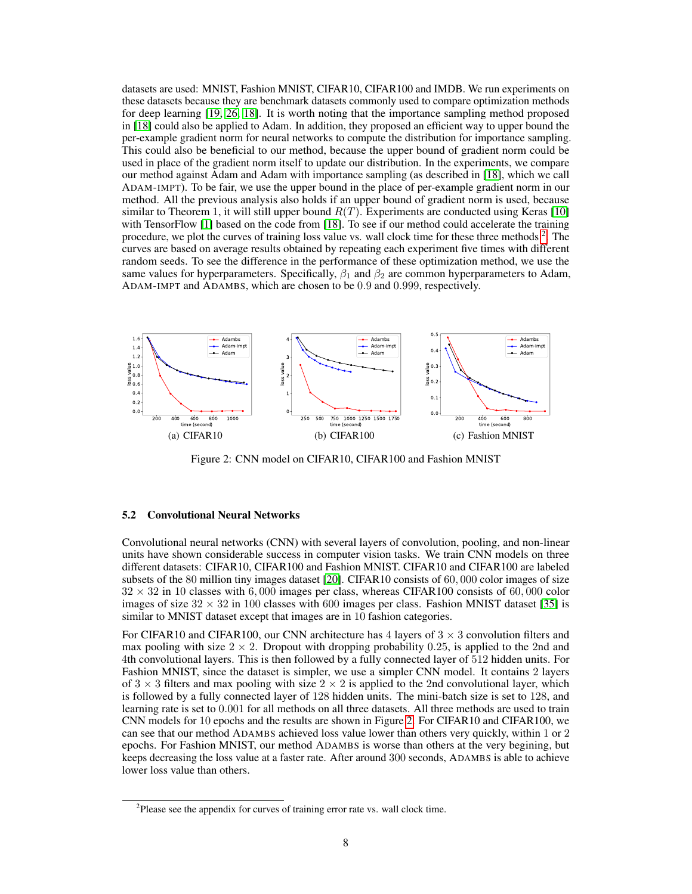datasets are used: MNIST, Fashion MNIST, CIFAR10, CIFAR100 and IMDB. We run experiments on these datasets because they are benchmark datasets commonly used to compare optimization methods for deep learning [\[19,](#page-10-3) [26,](#page-10-17) [18\]](#page-10-4). It is worth noting that the importance sampling method proposed in [\[18\]](#page-10-4) could also be applied to Adam. In addition, they proposed an efficient way to upper bound the per-example gradient norm for neural networks to compute the distribution for importance sampling. This could also be beneficial to our method, because the upper bound of gradient norm could be used in place of the gradient norm itself to update our distribution. In the experiments, we compare our method against Adam and Adam with importance sampling (as described in [\[18\]](#page-10-4), which we call ADAM-IMPT). To be fair, we use the upper bound in the place of per-example gradient norm in our method. All the previous analysis also holds if an upper bound of gradient norm is used, because similar to Theorem 1, it will still upper bound  $R(T)$ . Experiments are conducted using Keras [\[10\]](#page-9-12) with TensorFlow [\[1\]](#page-9-13) based on the code from [\[18\]](#page-10-4). To see if our method could accelerate the training procedure, we plot the curves of training loss value vs. wall clock time for these three methods <sup>[2](#page-7-0)</sup>. The curves are based on average results obtained by repeating each experiment five times with different random seeds. To see the difference in the performance of these optimization method, we use the same values for hyperparameters. Specifically,  $\beta_1$  and  $\beta_2$  are common hyperparameters to Adam, ADAM-IMPT and ADAMBS, which are chosen to be 0.9 and 0.999, respectively.



<span id="page-7-1"></span>Figure 2: CNN model on CIFAR10, CIFAR100 and Fashion MNIST

#### 5.2 Convolutional Neural Networks

Convolutional neural networks (CNN) with several layers of convolution, pooling, and non-linear units have shown considerable success in computer vision tasks. We train CNN models on three different datasets: CIFAR10, CIFAR100 and Fashion MNIST. CIFAR10 and CIFAR100 are labeled subsets of the 80 million tiny images dataset [\[20\]](#page-10-18). CIFAR10 consists of 60, 000 color images of size  $32 \times 32$  in 10 classes with 6,000 images per class, whereas CIFAR100 consists of 60,000 color images of size  $32 \times 32$  in 100 classes with 600 images per class. Fashion MNIST dataset [\[35\]](#page-10-19) is similar to MNIST dataset except that images are in 10 fashion categories.

For CIFAR10 and CIFAR100, our CNN architecture has 4 layers of  $3 \times 3$  convolution filters and max pooling with size  $2 \times 2$ . Dropout with dropping probability 0.25, is applied to the 2nd and 4th convolutional layers. This is then followed by a fully connected layer of 512 hidden units. For Fashion MNIST, since the dataset is simpler, we use a simpler CNN model. It contains 2 layers of  $3 \times 3$  filters and max pooling with size  $2 \times 2$  is applied to the 2nd convolutional layer, which is followed by a fully connected layer of 128 hidden units. The mini-batch size is set to 128, and learning rate is set to 0.001 for all methods on all three datasets. All three methods are used to train CNN models for 10 epochs and the results are shown in Figure [2.](#page-7-1) For CIFAR10 and CIFAR100, we can see that our method ADAMBS achieved loss value lower than others very quickly, within 1 or 2 epochs. For Fashion MNIST, our method ADAMBS is worse than others at the very begining, but keeps decreasing the loss value at a faster rate. After around 300 seconds, ADAMBS is able to achieve lower loss value than others.

<span id="page-7-0"></span> $2P$ lease see the appendix for curves of training error rate vs. wall clock time.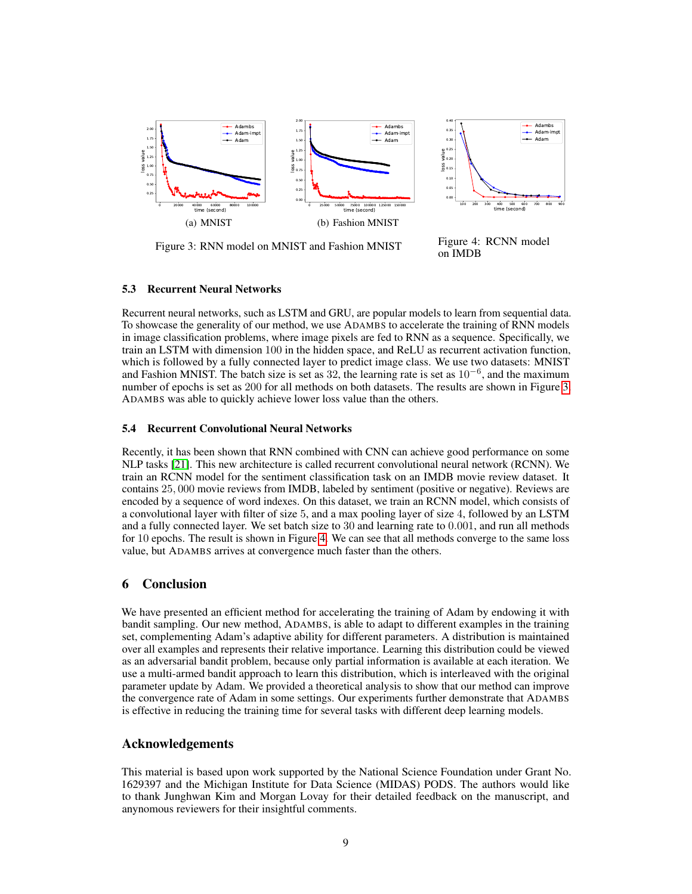

Figure 3: RNN model on MNIST and Fashion MNIST

<span id="page-8-1"></span><span id="page-8-0"></span>Figure 4: RCNN model on IMDB

#### 5.3 Recurrent Neural Networks

Recurrent neural networks, such as LSTM and GRU, are popular models to learn from sequential data. To showcase the generality of our method, we use ADAMBS to accelerate the training of RNN models in image classification problems, where image pixels are fed to RNN as a sequence. Specifically, we train an LSTM with dimension 100 in the hidden space, and ReLU as recurrent activation function, which is followed by a fully connected layer to predict image class. We use two datasets: MNIST and Fashion MNIST. The batch size is set as 32, the learning rate is set as  $10^{-6}$ , and the maximum number of epochs is set as 200 for all methods on both datasets. The results are shown in Figure [3.](#page-8-0) ADAMBS was able to quickly achieve lower loss value than the others.

#### 5.4 Recurrent Convolutional Neural Networks

Recently, it has been shown that RNN combined with CNN can achieve good performance on some NLP tasks [\[21\]](#page-10-20). This new architecture is called recurrent convolutional neural network (RCNN). We train an RCNN model for the sentiment classification task on an IMDB movie review dataset. It contains 25, 000 movie reviews from IMDB, labeled by sentiment (positive or negative). Reviews are encoded by a sequence of word indexes. On this dataset, we train an RCNN model, which consists of a convolutional layer with filter of size 5, and a max pooling layer of size 4, followed by an LSTM and a fully connected layer. We set batch size to 30 and learning rate to 0.001, and run all methods for 10 epochs. The result is shown in Figure [4.](#page-8-1) We can see that all methods converge to the same loss value, but ADAMBS arrives at convergence much faster than the others.

# 6 Conclusion

We have presented an efficient method for accelerating the training of Adam by endowing it with bandit sampling. Our new method, ADAMBS, is able to adapt to different examples in the training set, complementing Adam's adaptive ability for different parameters. A distribution is maintained over all examples and represents their relative importance. Learning this distribution could be viewed as an adversarial bandit problem, because only partial information is available at each iteration. We use a multi-armed bandit approach to learn this distribution, which is interleaved with the original parameter update by Adam. We provided a theoretical analysis to show that our method can improve the convergence rate of Adam in some settings. Our experiments further demonstrate that ADAMBS is effective in reducing the training time for several tasks with different deep learning models.

#### Acknowledgements

This material is based upon work supported by the National Science Foundation under Grant No. 1629397 and the Michigan Institute for Data Science (MIDAS) PODS. The authors would like to thank Junghwan Kim and Morgan Lovay for their detailed feedback on the manuscript, and anynomous reviewers for their insightful comments.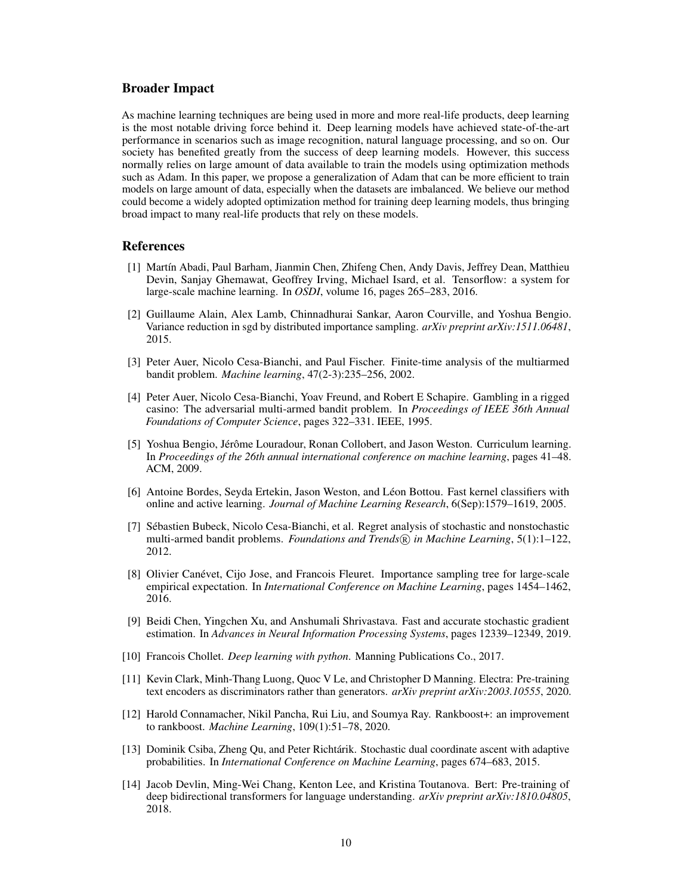#### Broader Impact

As machine learning techniques are being used in more and more real-life products, deep learning is the most notable driving force behind it. Deep learning models have achieved state-of-the-art performance in scenarios such as image recognition, natural language processing, and so on. Our society has benefited greatly from the success of deep learning models. However, this success normally relies on large amount of data available to train the models using optimization methods such as Adam. In this paper, we propose a generalization of Adam that can be more efficient to train models on large amount of data, especially when the datasets are imbalanced. We believe our method could become a widely adopted optimization method for training deep learning models, thus bringing broad impact to many real-life products that rely on these models.

#### References

- <span id="page-9-13"></span>[1] Martín Abadi, Paul Barham, Jianmin Chen, Zhifeng Chen, Andy Davis, Jeffrey Dean, Matthieu Devin, Sanjay Ghemawat, Geoffrey Irving, Michael Isard, et al. Tensorflow: a system for large-scale machine learning. In *OSDI*, volume 16, pages 265–283, 2016.
- <span id="page-9-10"></span>[2] Guillaume Alain, Alex Lamb, Chinnadhurai Sankar, Aaron Courville, and Yoshua Bengio. Variance reduction in sgd by distributed importance sampling. *arXiv preprint arXiv:1511.06481*, 2015.
- <span id="page-9-3"></span>[3] Peter Auer, Nicolo Cesa-Bianchi, and Paul Fischer. Finite-time analysis of the multiarmed bandit problem. *Machine learning*, 47(2-3):235–256, 2002.
- <span id="page-9-5"></span>[4] Peter Auer, Nicolo Cesa-Bianchi, Yoav Freund, and Robert E Schapire. Gambling in a rigged casino: The adversarial multi-armed bandit problem. In *Proceedings of IEEE 36th Annual Foundations of Computer Science*, pages 322–331. IEEE, 1995.
- <span id="page-9-6"></span>[5] Yoshua Bengio, Jérôme Louradour, Ronan Collobert, and Jason Weston. Curriculum learning. In *Proceedings of the 26th annual international conference on machine learning*, pages 41–48. ACM, 2009.
- <span id="page-9-0"></span>[6] Antoine Bordes, Seyda Ertekin, Jason Weston, and Léon Bottou. Fast kernel classifiers with online and active learning. *Journal of Machine Learning Research*, 6(Sep):1579–1619, 2005.
- <span id="page-9-11"></span>[7] Sébastien Bubeck, Nicolo Cesa-Bianchi, et al. Regret analysis of stochastic and nonstochastic multi-armed bandit problems. *Foundations and Trends* (*R*) *in Machine Learning*, 5(1):1–122, 2012.
- <span id="page-9-1"></span>[8] Olivier Canévet, Cijo Jose, and Francois Fleuret. Importance sampling tree for large-scale empirical expectation. In *International Conference on Machine Learning*, pages 1454–1462, 2016.
- <span id="page-9-7"></span>[9] Beidi Chen, Yingchen Xu, and Anshumali Shrivastava. Fast and accurate stochastic gradient estimation. In *Advances in Neural Information Processing Systems*, pages 12339–12349, 2019.
- <span id="page-9-12"></span>[10] Francois Chollet. *Deep learning with python*. Manning Publications Co., 2017.
- <span id="page-9-9"></span>[11] Kevin Clark, Minh-Thang Luong, Quoc V Le, and Christopher D Manning. Electra: Pre-training text encoders as discriminators rather than generators. *arXiv preprint arXiv:2003.10555*, 2020.
- <span id="page-9-4"></span>[12] Harold Connamacher, Nikil Pancha, Rui Liu, and Soumya Ray. Rankboost+: an improvement to rankboost. *Machine Learning*, 109(1):51–78, 2020.
- <span id="page-9-2"></span>[13] Dominik Csiba, Zheng Qu, and Peter Richtárik. Stochastic dual coordinate ascent with adaptive probabilities. In *International Conference on Machine Learning*, pages 674–683, 2015.
- <span id="page-9-8"></span>[14] Jacob Devlin, Ming-Wei Chang, Kenton Lee, and Kristina Toutanova. Bert: Pre-training of deep bidirectional transformers for language understanding. *arXiv preprint arXiv:1810.04805*, 2018.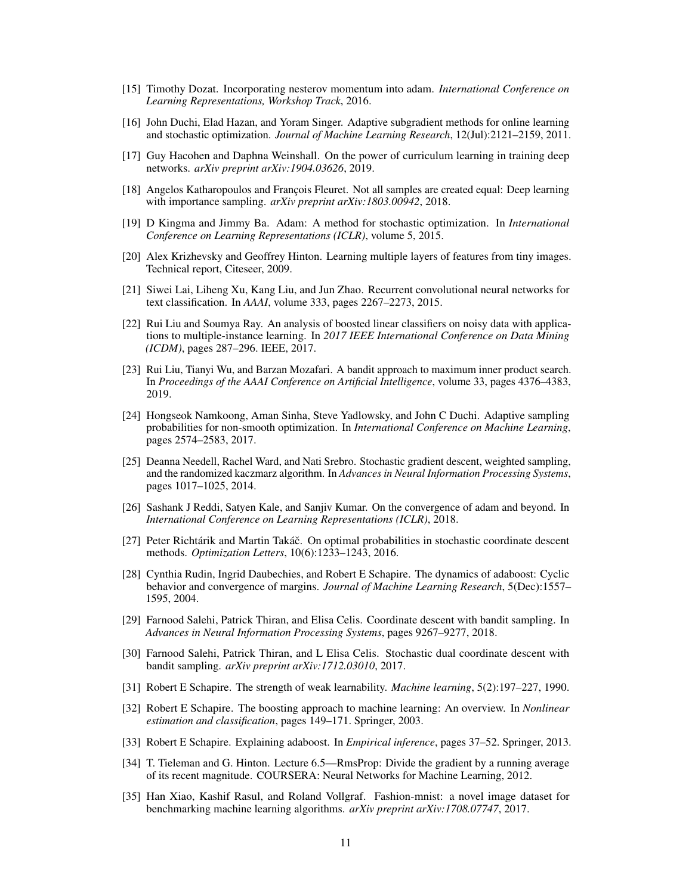- <span id="page-10-2"></span>[15] Timothy Dozat. Incorporating nesterov momentum into adam. *International Conference on Learning Representations, Workshop Track*, 2016.
- <span id="page-10-0"></span>[16] John Duchi, Elad Hazan, and Yoram Singer. Adaptive subgradient methods for online learning and stochastic optimization. *Journal of Machine Learning Research*, 12(Jul):2121–2159, 2011.
- <span id="page-10-16"></span>[17] Guy Hacohen and Daphna Weinshall. On the power of curriculum learning in training deep networks. *arXiv preprint arXiv:1904.03626*, 2019.
- <span id="page-10-4"></span>[18] Angelos Katharopoulos and François Fleuret. Not all samples are created equal: Deep learning with importance sampling. *arXiv preprint arXiv:1803.00942*, 2018.
- <span id="page-10-3"></span>[19] D Kingma and Jimmy Ba. Adam: A method for stochastic optimization. In *International Conference on Learning Representations (ICLR)*, volume 5, 2015.
- <span id="page-10-18"></span>[20] Alex Krizhevsky and Geoffrey Hinton. Learning multiple layers of features from tiny images. Technical report, Citeseer, 2009.
- <span id="page-10-20"></span>[21] Siwei Lai, Liheng Xu, Kang Liu, and Jun Zhao. Recurrent convolutional neural networks for text classification. In *AAAI*, volume 333, pages 2267–2273, 2015.
- <span id="page-10-11"></span>[22] Rui Liu and Soumya Ray. An analysis of boosted linear classifiers on noisy data with applications to multiple-instance learning. In *2017 IEEE International Conference on Data Mining (ICDM)*, pages 287–296. IEEE, 2017.
- <span id="page-10-13"></span>[23] Rui Liu, Tianyi Wu, and Barzan Mozafari. A bandit approach to maximum inner product search. In *Proceedings of the AAAI Conference on Artificial Intelligence*, volume 33, pages 4376–4383, 2019.
- <span id="page-10-7"></span>[24] Hongseok Namkoong, Aman Sinha, Steve Yadlowsky, and John C Duchi. Adaptive sampling probabilities for non-smooth optimization. In *International Conference on Machine Learning*, pages 2574–2583, 2017.
- <span id="page-10-15"></span>[25] Deanna Needell, Rachel Ward, and Nati Srebro. Stochastic gradient descent, weighted sampling, and the randomized kaczmarz algorithm. In *Advances in Neural Information Processing Systems*, pages 1017–1025, 2014.
- <span id="page-10-17"></span>[26] Sashank J Reddi, Satyen Kale, and Sanjiv Kumar. On the convergence of adam and beyond. In *International Conference on Learning Representations (ICLR)*, 2018.
- <span id="page-10-14"></span>[27] Peter Richtárik and Martin Takáč. On optimal probabilities in stochastic coordinate descent methods. *Optimization Letters*, 10(6):1233–1243, 2016.
- <span id="page-10-12"></span>[28] Cynthia Rudin, Ingrid Daubechies, and Robert E Schapire. The dynamics of adaboost: Cyclic behavior and convergence of margins. *Journal of Machine Learning Research*, 5(Dec):1557– 1595, 2004.
- <span id="page-10-6"></span>[29] Farnood Salehi, Patrick Thiran, and Elisa Celis. Coordinate descent with bandit sampling. In *Advances in Neural Information Processing Systems*, pages 9267–9277, 2018.
- <span id="page-10-5"></span>[30] Farnood Salehi, Patrick Thiran, and L Elisa Celis. Stochastic dual coordinate descent with bandit sampling. *arXiv preprint arXiv:1712.03010*, 2017.
- <span id="page-10-10"></span>[31] Robert E Schapire. The strength of weak learnability. *Machine learning*, 5(2):197–227, 1990.
- <span id="page-10-8"></span>[32] Robert E Schapire. The boosting approach to machine learning: An overview. In *Nonlinear estimation and classification*, pages 149–171. Springer, 2003.
- <span id="page-10-9"></span>[33] Robert E Schapire. Explaining adaboost. In *Empirical inference*, pages 37–52. Springer, 2013.
- <span id="page-10-1"></span>[34] T. Tieleman and G. Hinton. Lecture 6.5—RmsProp: Divide the gradient by a running average of its recent magnitude. COURSERA: Neural Networks for Machine Learning, 2012.
- <span id="page-10-19"></span>[35] Han Xiao, Kashif Rasul, and Roland Vollgraf. Fashion-mnist: a novel image dataset for benchmarking machine learning algorithms. *arXiv preprint arXiv:1708.07747*, 2017.